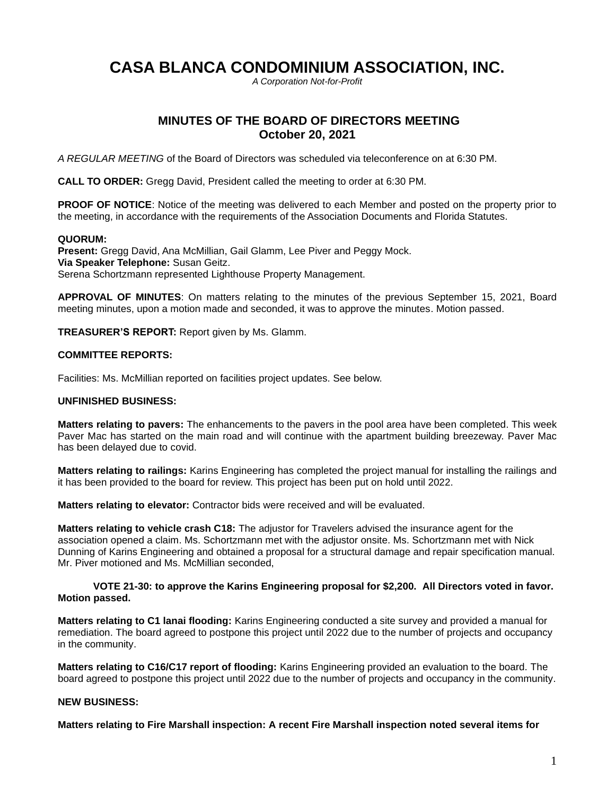# **CASA BLANCA CONDOMINIUM ASSOCIATION, INC.**

*A Corporation Not-for-Profit*

# **MINUTES OF THE BOARD OF DIRECTORS MEETING October 20, 2021**

*A REGULAR MEETING* of the Board of Directors was scheduled via teleconference on at 6:30 PM.

**CALL TO ORDER:** Gregg David, President called the meeting to order at 6:30 PM.

**PROOF OF NOTICE**: Notice of the meeting was delivered to each Member and posted on the property prior to the meeting, in accordance with the requirements of the Association Documents and Florida Statutes.

## **QUORUM:**

**Present:** Gregg David, Ana McMillian, Gail Glamm, Lee Piver and Peggy Mock. **Via Speaker Telephone:** Susan Geitz. Serena Schortzmann represented Lighthouse Property Management.

**APPROVAL OF MINUTES**: On matters relating to the minutes of the previous September 15, 2021, Board meeting minutes, upon a motion made and seconded, it was to approve the minutes. Motion passed.

**TREASURER'S REPORT:** Report given by Ms. Glamm.

## **COMMITTEE REPORTS:**

Facilities: Ms. McMillian reported on facilities project updates. See below.

#### **UNFINISHED BUSINESS:**

**Matters relating to pavers:** The enhancements to the pavers in the pool area have been completed. This week Paver Mac has started on the main road and will continue with the apartment building breezeway. Paver Mac has been delayed due to covid.

**Matters relating to railings:** Karins Engineering has completed the project manual for installing the railings and it has been provided to the board for review. This project has been put on hold until 2022.

**Matters relating to elevator:** Contractor bids were received and will be evaluated.

**Matters relating to vehicle crash C18:** The adjustor for Travelers advised the insurance agent for the association opened a claim. Ms. Schortzmann met with the adjustor onsite. Ms. Schortzmann met with Nick Dunning of Karins Engineering and obtained a proposal for a structural damage and repair specification manual. Mr. Piver motioned and Ms. McMillian seconded,

#### **VOTE 21-30: to approve the Karins Engineering proposal for \$2,200. All Directors voted in favor. Motion passed.**

**Matters relating to C1 lanai flooding:** Karins Engineering conducted a site survey and provided a manual for remediation. The board agreed to postpone this project until 2022 due to the number of projects and occupancy in the community.

**Matters relating to C16/C17 report of flooding:** Karins Engineering provided an evaluation to the board. The board agreed to postpone this project until 2022 due to the number of projects and occupancy in the community.

## **NEW BUSINESS:**

**Matters relating to Fire Marshall inspection: A recent Fire Marshall inspection noted several items for**